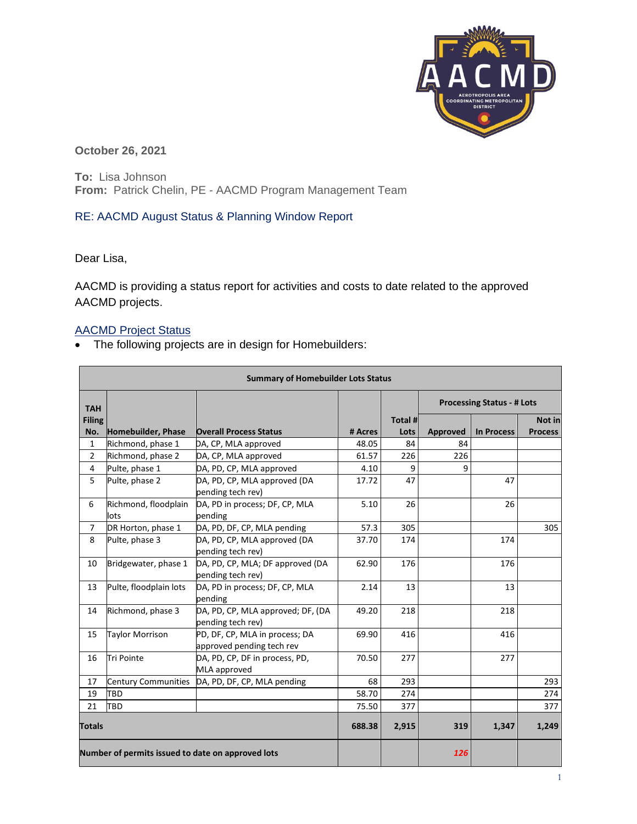

**October 26, 2021**

**To:** Lisa Johnson **From:** Patrick Chelin, PE - AACMD Program Management Team

## RE: AACMD August Status & Planning Window Report

Dear Lisa,

AACMD is providing a status report for activities and costs to date related to the approved AACMD projects.

## AACMD Project Status

• The following projects are in design for Homebuilders:

| <b>Summary of Homebuilder Lots Status</b>         |                              |                                                             |         |         |                                   |                   |                |
|---------------------------------------------------|------------------------------|-------------------------------------------------------------|---------|---------|-----------------------------------|-------------------|----------------|
| <b>TAH</b>                                        |                              |                                                             |         |         | <b>Processing Status - # Lots</b> |                   |                |
| <b>Filing</b>                                     |                              |                                                             |         | Total # |                                   |                   | Not in         |
| No.                                               | Homebuilder, Phase           | <b>Overall Process Status</b>                               | # Acres | Lots    | Approved                          | <b>In Process</b> | <b>Process</b> |
| 1                                                 | Richmond, phase 1            | DA, CP, MLA approved                                        | 48.05   | 84      | 84                                |                   |                |
| $\overline{2}$                                    | Richmond, phase 2            | DA, CP, MLA approved                                        | 61.57   | 226     | 226                               |                   |                |
| 4                                                 | Pulte, phase 1               | DA, PD, CP, MLA approved                                    | 4.10    | 9       | q                                 |                   |                |
| 5                                                 | Pulte, phase 2               | DA, PD, CP, MLA approved (DA<br>pending tech rev)           | 17.72   | 47      |                                   | 47                |                |
| 6                                                 | Richmond, floodplain<br>lots | DA, PD in process; DF, CP, MLA<br>pending                   | 5.10    | 26      |                                   | 26                |                |
| $\overline{7}$                                    | DR Horton, phase 1           | DA, PD, DF, CP, MLA pending                                 | 57.3    | 305     |                                   |                   | 305            |
| 8                                                 | Pulte, phase 3               | DA, PD, CP, MLA approved (DA<br>pending tech rev)           | 37.70   | 174     |                                   | 174               |                |
| 10                                                | Bridgewater, phase 1         | DA, PD, CP, MLA; DF approved (DA<br>pending tech rev)       | 62.90   | 176     |                                   | 176               |                |
| 13                                                | Pulte, floodplain lots       | DA, PD in process; DF, CP, MLA<br>pending                   | 2.14    | 13      |                                   | 13                |                |
| 14                                                | Richmond, phase 3            | DA, PD, CP, MLA approved; DF, (DA<br>pending tech rev)      | 49.20   | 218     |                                   | 218               |                |
| 15                                                | <b>Taylor Morrison</b>       | PD, DF, CP, MLA in process; DA<br>approved pending tech rev | 69.90   | 416     |                                   | 416               |                |
| 16                                                | <b>Tri Pointe</b>            | DA, PD, CP, DF in process, PD,<br>MLA approved              | 70.50   | 277     |                                   | 277               |                |
| 17                                                | Century Communities          | DA, PD, DF, CP, MLA pending                                 | 68      | 293     |                                   |                   | 293            |
| 19                                                | TBD                          |                                                             | 58.70   | 274     |                                   |                   | 274            |
| 21                                                | TBD                          |                                                             | 75.50   | 377     |                                   |                   | 377            |
| <b>Totals</b>                                     |                              |                                                             | 688.38  | 2,915   | 319                               | 1,347             | 1,249          |
| Number of permits issued to date on approved lots |                              |                                                             |         |         | <b>126</b>                        |                   |                |